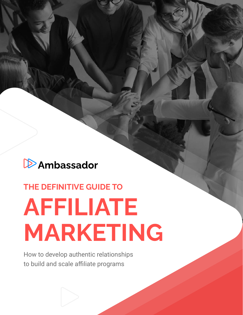## **D**Ambassador

## **THE DEFINITIVE GUIDE TO AFFILIATE**

# **MARKETING**

How to develop authentic relationships to build and scale affiliate programs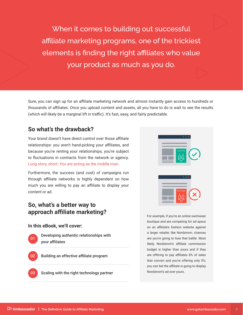When it comes to building out successful affiliate marketing programs, one of the trickiest elements is finding the right affiliates who value your product as much as you do.

Sure, you can sign up for an affiliate marketing network and almost instantly gain access to hundreds or thousands of affiliates. Once you upload content and assets, all you have to do is wait to see the results (which will likely be a marginal lift in traffic). It's fast, easy, and fairly predictable.

## **So what's the drawback?**

Your brand doesn't have direct control over those affiliate relationships: you aren't hand-picking your affiliates, and because you're renting your relationships, you're subject to fluctuations in contracts from the network or agency. Long story, short: You are acting as the middle-man.

Furthermore, the success (and cost) of campaigns run through affiliate networks is highly dependent on how much you are willing to pay an affiliate to display your content or ad.

## **So, what's a better way to approach affiliate marketing?**

#### **In this eBook, we'll cover:**

*01*

*02*

Developing authentic relationships with your affiliates

- Building an effective affiliate program
- *03*

Scaling with the right technology partner



For example, if you're an online swimwear boutique and are competing for ad space on an affiliate's fashion website against a larger retailer, like Nordstrom, chances are you're going to lose that battle. Most likely, Nordstrom's affiliate commission budget is higher than yours and if they are offering to pay affiliates 8% of sales that convert and you're offering only 5%; you can bet the affiliate is going to display Nordstrom's ad over yours.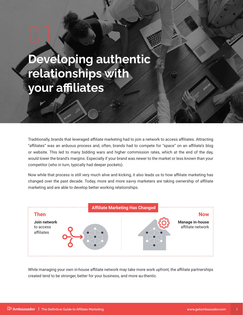## **Developing authentic relationships with your affiliates**

01

Traditionally, brands that leveraged affiliate marketing had to join a network to access affiliates. Attracting "affiliates" was an arduous process and, often, brands had to compete for "space" on an affiliate's blog or website. This led to many bidding wars and higher commission rates, which at the end of the day, would lower the brand's margins. Especially if your brand was newer to the market or less known than your competitor (who in turn, typically had deeper pockets).

Now while that process is still very much alive and kicking, it also leads us to how affiliate marketing has changed over the past decade. Today, more and more savvy marketers are taking ownership of affiliate marketing and are able to develop better working relationships.



While managing your own in-house affiliate network may take more work upfront, the affiliate partnerships created tend to be stronger, better for your business, and more au-thentic.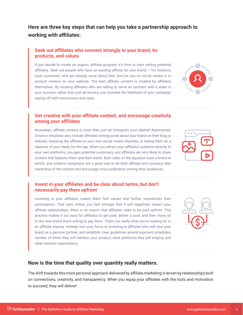## **Here are three key steps that can help you take a partnership approach to working with affiliates:**

#### **Seek out affiliates who connect strongly to your brand, its products, and values**

If you decide to create an organic affiliate program, it's time to start vetting potential affiliates. Seek out people who have an existing affinity for your brand  $-$  for instance, loyal customers who are already vocal about their love for you on social media or in product reviews on your website. The best affiliate content is created by affiliates themselves. By locating affiliates who are willing to serve as partners with a stake in your success, rather than just ad servers, you increase the likelihood of your campaign paying off with conversions and sales.

## **Get creative with your affiliate content, and encourage creativity among your affiliates**

Nowadays, affiliate content is more than just an Instagram post labeled #sponsored. Creative initiatives also include affiliates writing posts about your brand on their blog or website, featuring the affiliate on your own social media channels, or letting them do a takeover of your feeds for the day. When you attract your affiliate's audience directly to your own platforms, you gain potential customers, and affiliates are very likely to share content that features them and their brand. Both sides of the equation have a brand to enrich, and creative campaigns are a good way to let both affiliate and company take ownership of the content and encourage cross-pollination among their audiences.

## **Invest in your affiliates and be clear about terms, but don't necessarily pay them upfront**

Investing in your affiliates makes them feel valued and further incentivizes their participation. That said, unless you feel strongly that it will negatively impact your affiliate relationships, there is no reason that affiliates need to be paid upfront. This practice makes it too easy for affiliates to get paid, deliver a post, and then move on to the next brand that's willing to pay them. That's not really what you're looking for in an affiliate anyway. Instead, turn your focus to investing in affiliates who will view your brand as a genuine partner, and establish clear guidelines around payment schedules, number of times they will mention your product, what platforms they will employ, and other relevant expectations.

## **Now is the time that quality over quantity really matters.**

The shift towards this more personal approach delivered by affiliate marketing is driven by relationships built on connections, creativity, and transparency. When you equip your affiliates with the tools and motivation to succeed, they will deliver!



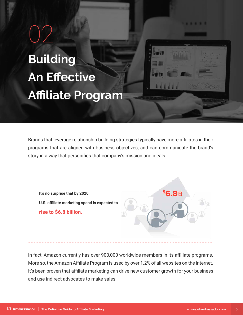**Building An Effective Affiliate Program** 02



. . . . .

Brands that leverage relationship building strategies typically have more affiliates in their programs that are aligned with business objectives, and can communicate the brand's story in a way that personifies that company's mission and ideals.



In fact, Amazon currently has over 900,000 worldwide members in its affiliate programs. More so, the Amazon Affiliate Program is used by over 1.2% of all websites on the internet. It's been proven that affiliate marketing can drive new customer growth for your business and use indirect advocates to make sales.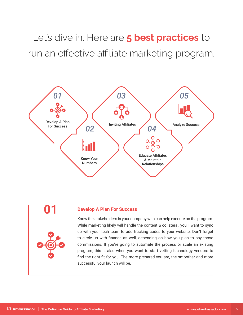Let's dive in. Here are **5 best practices** to run an effective affiliate marketing program.





## **01 Develop A Plan For Success**

Know the stakeholders in your company who can help execute on the program. While marketing likely will handle the content & collateral, you'll want to sync up with your tech team to add tracking codes to your website. Don't forget to circle up with finance as well, depending on how you plan to pay those commissions. If you're going to automate the process or scale an existing program, this is also when you want to start vetting technology vendors to find the right fit for you. The more prepared you are, the smoother and more successful your launch will be.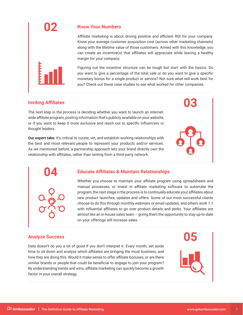## **02 Know Your Numbers**

Affiliate marketing is about driving positive and efficient ROI for your company. Know your average customer acquisition cost (across other marketing channels) along with the lifetime value of those customers. Armed with this knowledge, you can create an incentive(s) that affiliates will appreciate while leaving a healthy margin for your company.

Figuring out the incentive structure can be tough but start with the basics. Do you want to give a percentage of the total sale or do you want to give a specific monetary bonus for a single product or service? Not sure what will work best for you? Check out these case studies to see what worked for other companies.

## **Inviting Affiliates 03**

E

The next step in the process is deciding whether you want to launch an internetwide affiliate program, posting information that's publicly available on your website, or if you want to keep it more exclusive and reach out to specific influencers or thought leaders.

**Our expert take:** It's critical to curate, vet, and establish working relationships with the best and most relevant people to represent your products and/or services. As we mentioned before, a partnership approach lets your brand directly own the relationship with affiliates, rather than renting from a third-party network.

#### **04 Educate Affiliates & Maintain Relationships**

Whether you choose to maintain your affiliate program using spreadsheets and manual processes, or invest in affiliate marketing software to automate the program, the next stage in the process is to continually educate your affiliates about new product launches, updates and offers. Some of our most successful clients choose to do this through monthly webinars or email updates, and others work 1:1 with influential affiliates to go over product details and perks. Your affiliates are almost like an in-house sales team – giving them the opportunity to stay up-to-date on your offerings will increase sales.

## **Analyze Success 05**

Data doesn't do you a lot of good if you don't interpret it. Every month, set aside time to sit down and analyze which affiliates are bringing the most business, and how they are doing this. Would it make sense to offer affiliate bonuses, or are there similar brands or people that could be beneficial to engage to join your program? By understanding trends and wins, affiliate marketing can quickly become a growth factor in your overall strategy.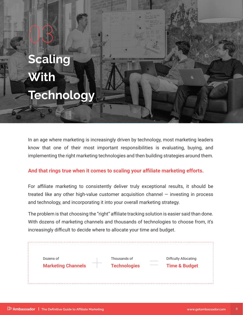## **Scaling With Technology**

03

In an age where marketing is increasingly driven by technology, most marketing leaders know that one of their most important responsibilities is evaluating, buying, and implementing the right marketing technologies and then building strategies around them.

## **And that rings true when it comes to scaling your affiliate marketing efforts.**

For affiliate marketing to consistently deliver truly exceptional results, it should be treated like any other high-value customer acquisition channel — investing in process and technology, and incorporating it into your overall marketing strategy.

The problem is that choosing the "right" affiliate tracking solution is easier said than done. With dozens of marketing channels and thousands of technologies to choose from, it's increasingly difficult to decide where to allocate your time and budget.

| Dozens of                 | Thousands of        | <b>Diffculty Allocating</b> |
|---------------------------|---------------------|-----------------------------|
| <b>Marketing Channels</b> | <b>Technologies</b> | <b>Time &amp; Budget</b>    |
|                           |                     |                             |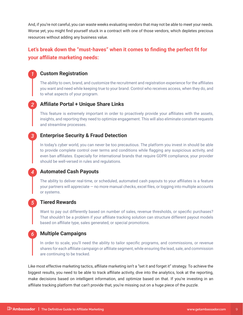And, if you're not careful, you can waste weeks evaluating vendors that may not be able to meet your needs. Worse yet, you might find yourself stuck in a contract with one of those vendors, which depletes precious resources without adding any business value.

## **Let's break down the "must-haves" when it comes to finding the perfect fit for your affiliate marketing needs:**

## *1* **Custom Registration**

The ability to own, brand, and customize the recruitment and registration experience for the affiliates you want and need while keeping true to your brand. Control who receives access, when they do, and to what aspects of your program.

## *2* **Affiliate Portal + Unique Share Links**

This feature is extremely important in order to proactively provide your affiliates with the assets, insights, and reporting they need to optimize engagement. This will also eliminate constant requests and streamline processes.

#### *3* **Enterprise Security & Fraud Detection**

In today's cyber world, you can never be too precautious. The platform you invest in should be able to provide complete control over terms and conditions while flagging any suspicious activity, and even ban affiliates. Especially for international brands that require GDPR compliance, your provider should be well-versed in rules and regulations.

#### *4* **Automated Cash Payouts**

The ability to deliver real-time, or scheduled, automated cash payouts to your affiliates is a feature your partners will appreciate — no more manual checks, excel files, or logging into multiple accounts or systems.

#### *5* **Tiered Rewards**

Want to pay out differently based on number of sales, revenue thresholds, or specific purchases? That shouldn't be a problem if your affiliate tracking solution can structure different payout models based on affiliate type, sales generated, or special promotions.

#### *6* **Multiple Campaigns**

In order to scale, you'll need the ability to tailor specific programs, and commissions, or revenue shares for each affiliate campaign or affiliate segment, while ensuring the lead, sale, and commission are continuing to be tracked.

Like most effective marketing tactics, affiliate marketing isn't a "set it and forget it" strategy. To achieve the biggest results, you need to be able to track affiliate activity, dive into the analytics, look at the reporting, make decisions based on intelligent information, and optimize based on that. If you're investing in an affiliate tracking platform that can't provide that, you're missing out on a huge piece of the puzzle.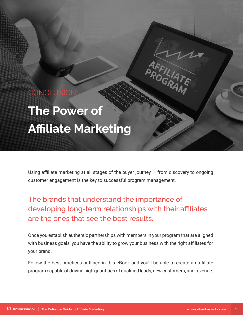## **CONCLUSIO**

## **The Power of Affiliate Marketing**

Using affiliate marketing at all stages of the buyer journey  $-$  from discovery to ongoing customer engagement is the key to successful program management.

The brands that understand the importance of developing long-term relationships with their affiliates are the ones that see the best results.

Once you establish authentic partnerships with members in your program that are aligned with business goals, you have the ability to grow your business with the right affiliates for your brand.

Follow the best practices outlined in this eBook and you'll be able to create an affiliate program capable of driving high quantities of qualified leads, new customers, and revenue.